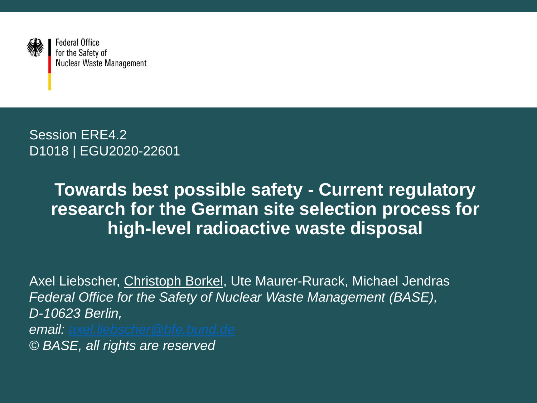

**Federal Office** for the Safety of **Nuclear Waste Management** 

Session ERE4.2 D1018 | EGU2020-22601

#### **Towards best possible safety - Current regulatory research for the German site selection process for high-level radioactive waste disposal**

Axel Liebscher, Christoph Borkel, Ute Maurer-Rurack, Michael Jendras *Federal Office for the Safety of Nuclear Waste Management (BASE), D-10623 Berlin, email: [axel.liebscher@bfe.bund.de](mailto:axel.liebscher@bfe.bund.de) © BASE, all rights are reserved*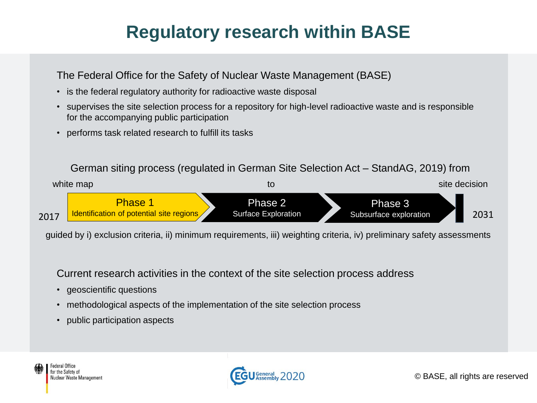# **Regulatory research within BASE**

The Federal Office for the Safety of Nuclear Waste Management (BASE)

- is the federal regulatory authority for radioactive waste disposal
- supervises the site selection process for a repository for high-level radioactive waste and is responsible for the accompanying public participation
- performs task related research to fulfill its tasks

#### German siting process (regulated in German Site Selection Act – StandAG, 2019) from



guided by i) exclusion criteria, ii) minimum requirements, iii) weighting criteria, iv) preliminary safety assessments

Current research activities in the context of the site selection process address

- geoscientific questions
- methodological aspects of the implementation of the site selection process
- public participation aspects

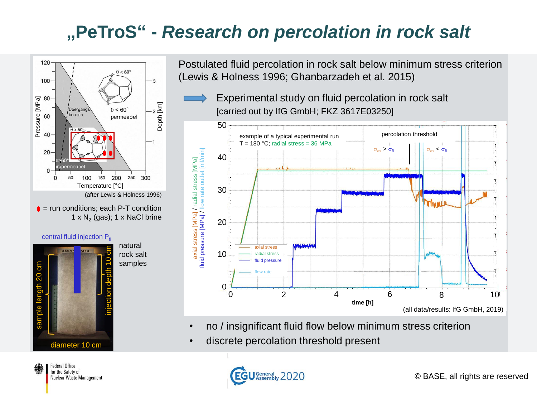### **"PeTroS" -** *Research on percolation in rock salt*



 $\bullet$  = run conditions; each P-T condition 1 x  $N_2$  (gas); 1 x NaCl brine



Postulated fluid percolation in rock salt below minimum stress criterion (Lewis & Holness 1996; Ghanbarzadeh et al. 2015)

Experimental study on fluid percolation in rock salt [carried out by IfG GmbH; FKZ 3617E03250]



- no / insignificant fluid flow below minimum stress criterion
- discrete percolation threshold present

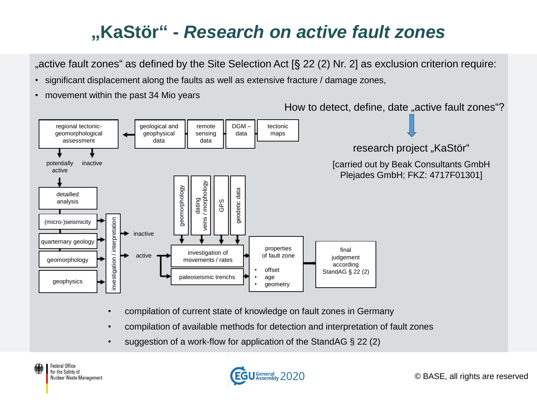# **"KaStör" -** *Research on active fault zones*

", active fault zones" as defined by the Site Selection Act  $\S$  22 (2) Nr. 2] as exclusion criterion require:

- significant displacement along the faults as well as extensive fracture / damage zones,
- movement within the past 34 Mio years

How to detect, define, date "active fault zones"?



- compilation of current state of knowledge on fault zones in Germany
- compilation of available methods for detection and interpretation of fault zones
- suggestion of a work-flow for application of the StandAG § 22 (2)